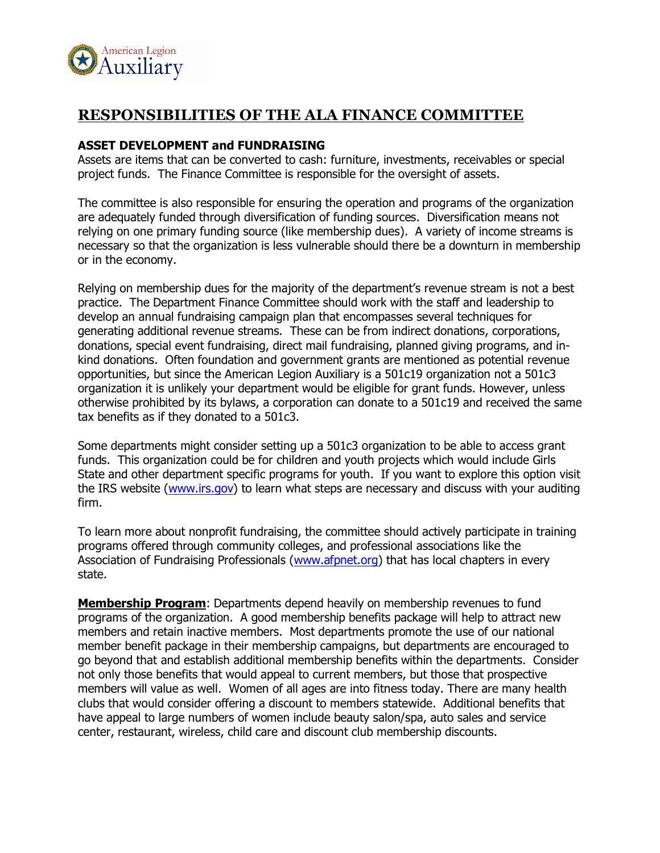

# **RESPONSIBILITIES OF THE ALA FINANCE COMMITTEE**

### **ASSET DEVELOPMENT and FUNDRAISING**

Assets are items that can be converted to cash: furniture, investments, receivables or special project funds. The Finance Committee is responsible for the oversight of assets.

The committee is also responsible for ensuring the operation and programs of the organization are adequately funded through diversification of funding sources. Diversification means not relying on one primary funding source (like membership dues). A variety of income streams is necessary so that the organization is less vulnerable should there be a downturn in membership or in the economy.

Relying on membership dues for the majority of the department's revenue stream is not a best practice. The Department Finance Committee should work with the staff and leadership to develop an annual fundraising campaign plan that encompasses several techniques for generating additional revenue streams. These can be from indirect donations, corporations, donations, special event fundraising, direct mail fundraising, planned giving programs, and inkind donations. Often foundation and government grants are mentioned as potential revenue opportunities, but since the American Legion Auxiliary is a 501c19 organization not a 501c3 organization it is unlikely your department would be eligible for grant funds. However, unless otherwise prohibited by its bylaws, a corporation can donate to a 501c19 and received the same tax benefits as if they donated to a 501c3.

Some departments might consider setting up a 501c3 organization to be able to access grant funds. This organization could be for children and youth projects which would include Girls State and other department specific programs for youth. If you want to explore this option visit the IRS website (www.irs.gov) to learn what steps are necessary and discuss with your auditing firm.

To learn more about nonprofit fundraising, the committee should actively participate in training programs offered through community colleges, and professional associations like the Association of Fundraising Professionals (www.afpnet.org) that has local chapters in every state.

**Membership Program**: Departments depend heavily on membership revenues to fund programs of the organization. A good membership benefits package will help to attract new members and retain inactive members. Most departments promote the use of our national member benefit package in their membership campaigns, but departments are encouraged to go beyond that and establish additional membership benefits within the departments. Consider not only those benefits that would appeal to current members, but those that prospective members will value as well. Women of all ages are into fitness today. There are many health clubs that would consider offering a discount to members statewide. Additional benefits that have appeal to large numbers of women include beauty salon/spa, auto sales and service center, restaurant, wireless, child care and discount club membership discounts.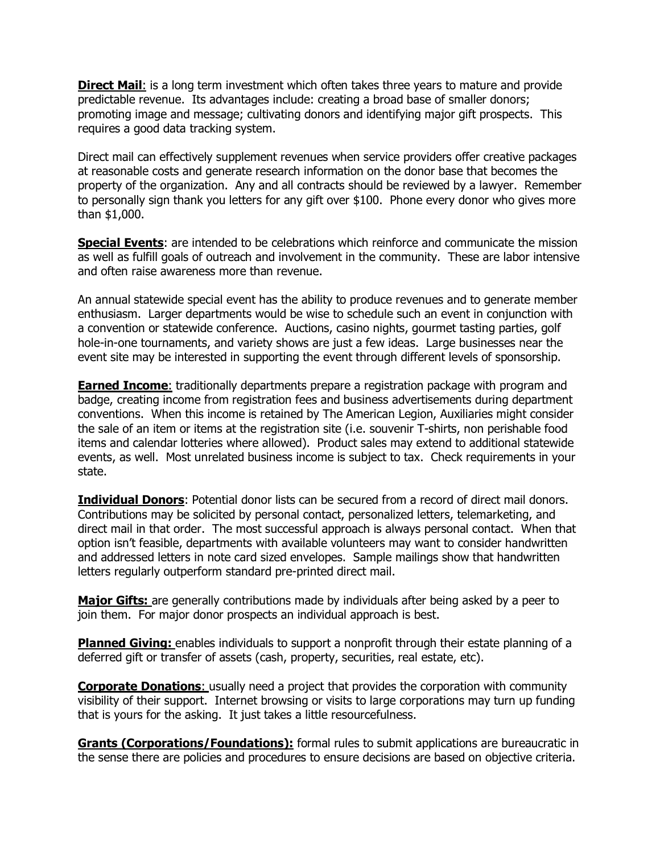**Direct Mail**: is a long term investment which often takes three years to mature and provide predictable revenue. Its advantages include: creating a broad base of smaller donors; promoting image and message; cultivating donors and identifying major gift prospects. This requires a good data tracking system.

Direct mail can effectively supplement revenues when service providers offer creative packages at reasonable costs and generate research information on the donor base that becomes the property of the organization. Any and all contracts should be reviewed by a lawyer. Remember to personally sign thank you letters for any gift over \$100. Phone every donor who gives more than \$1,000.

**Special Events:** are intended to be celebrations which reinforce and communicate the mission as well as fulfill goals of outreach and involvement in the community. These are labor intensive and often raise awareness more than revenue.

An annual statewide special event has the ability to produce revenues and to generate member enthusiasm. Larger departments would be wise to schedule such an event in conjunction with a convention or statewide conference. Auctions, casino nights, gourmet tasting parties, golf hole-in-one tournaments, and variety shows are just a few ideas. Large businesses near the event site may be interested in supporting the event through different levels of sponsorship.

**Earned Income:** traditionally departments prepare a registration package with program and badge, creating income from registration fees and business advertisements during department conventions. When this income is retained by The American Legion, Auxiliaries might consider the sale of an item or items at the registration site (i.e. souvenir T-shirts, non perishable food items and calendar lotteries where allowed). Product sales may extend to additional statewide events, as well. Most unrelated business income is subject to tax. Check requirements in your state.

**Individual Donors**: Potential donor lists can be secured from a record of direct mail donors. Contributions may be solicited by personal contact, personalized letters, telemarketing, and direct mail in that order. The most successful approach is always personal contact. When that option isn't feasible, departments with available volunteers may want to consider handwritten and addressed letters in note card sized envelopes. Sample mailings show that handwritten letters regularly outperform standard pre-printed direct mail.

**Major Gifts:** are generally contributions made by individuals after being asked by a peer to join them. For major donor prospects an individual approach is best.

**Planned Giving:** enables individuals to support a nonprofit through their estate planning of a deferred gift or transfer of assets (cash, property, securities, real estate, etc).

**Corporate Donations:** usually need a project that provides the corporation with community visibility of their support. Internet browsing or visits to large corporations may turn up funding that is yours for the asking. It just takes a little resourcefulness.

**Grants (Corporations/Foundations):** formal rules to submit applications are bureaucratic in the sense there are policies and procedures to ensure decisions are based on objective criteria.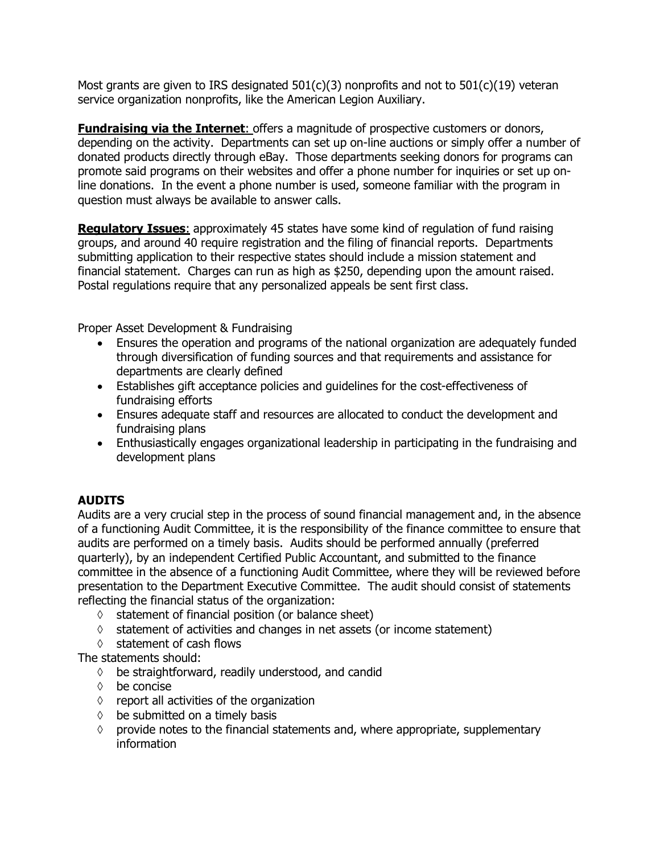Most grants are given to IRS designated  $501(c)(3)$  nonprofits and not to  $501(c)(19)$  veteran service organization nonprofits, like the American Legion Auxiliary.

**Fundraising via the Internet**: offers a magnitude of prospective customers or donors, depending on the activity. Departments can set up on-line auctions or simply offer a number of donated products directly through eBay. Those departments seeking donors for programs can promote said programs on their websites and offer a phone number for inquiries or set up online donations. In the event a phone number is used, someone familiar with the program in question must always be available to answer calls.

**Regulatory Issues**: approximately 45 states have some kind of regulation of fund raising groups, and around 40 require registration and the filing of financial reports. Departments submitting application to their respective states should include a mission statement and financial statement. Charges can run as high as \$250, depending upon the amount raised. Postal regulations require that any personalized appeals be sent first class.

Proper Asset Development & Fundraising

- Ensures the operation and programs of the national organization are adequately funded through diversification of funding sources and that requirements and assistance for departments are clearly defined
- Establishes gift acceptance policies and guidelines for the cost-effectiveness of fundraising efforts
- Ensures adequate staff and resources are allocated to conduct the development and fundraising plans
- Enthusiastically engages organizational leadership in participating in the fundraising and development plans

## **AUDITS**

Audits are a very crucial step in the process of sound financial management and, in the absence of a functioning Audit Committee, it is the responsibility of the finance committee to ensure that audits are performed on a timely basis. Audits should be performed annually (preferred quarterly), by an independent Certified Public Accountant, and submitted to the finance committee in the absence of a functioning Audit Committee, where they will be reviewed before presentation to the Department Executive Committee. The audit should consist of statements reflecting the financial status of the organization:

- $\Diamond$  statement of financial position (or balance sheet)
- $\Diamond$  statement of activities and changes in net assets (or income statement)
- $\Diamond$  statement of cash flows

The statements should:

- $\Diamond$  be straightforward, readily understood, and candid
- $\Diamond$  be concise
- $\Diamond$  report all activities of the organization
- $\Diamond$  be submitted on a timely basis
- $\diamond$  provide notes to the financial statements and, where appropriate, supplementary information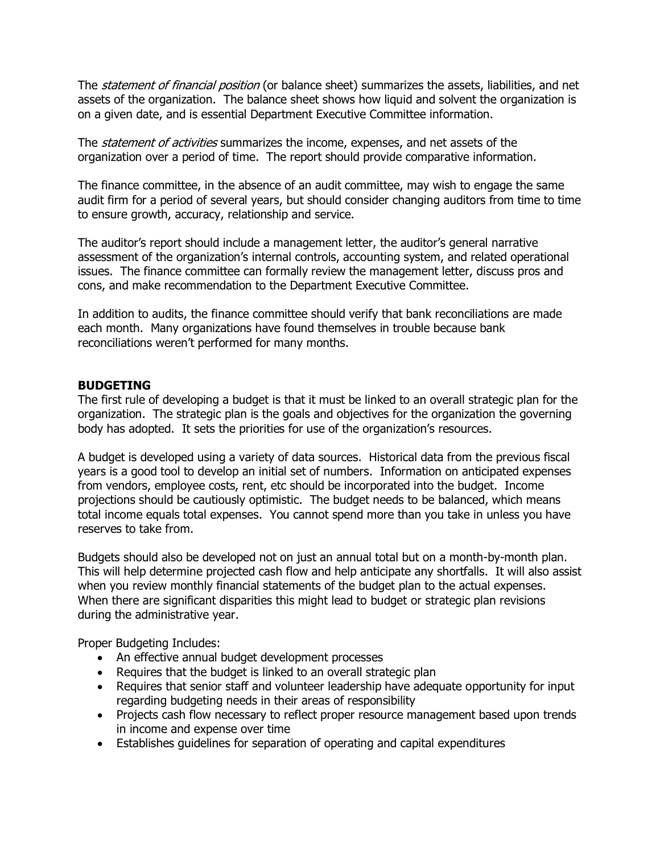The *statement of financial position* (or balance sheet) summarizes the assets, liabilities, and net assets of the organization. The balance sheet shows how liquid and solvent the organization is on a given date, and is essential Department Executive Committee information.

The *statement of activities* summarizes the income, expenses, and net assets of the organization over a period of time. The report should provide comparative information.

The finance committee, in the absence of an audit committee, may wish to engage the same audit firm for a period of several years, but should consider changing auditors from time to time to ensure growth, accuracy, relationship and service.

The auditor's report should include a management letter, the auditor's general narrative assessment of the organization's internal controls, accounting system, and related operational issues. The finance committee can formally review the management letter, discuss pros and cons, and make recommendation to the Department Executive Committee.

In addition to audits, the finance committee should verify that bank reconciliations are made each month. Many organizations have found themselves in trouble because bank reconciliations weren't performed for many months.

#### **BUDGETING**

The first rule of developing a budget is that it must be linked to an overall strategic plan for the organization. The strategic plan is the goals and objectives for the organization the governing body has adopted. It sets the priorities for use of the organization's resources.

A budget is developed using a variety of data sources. Historical data from the previous fiscal years is a good tool to develop an initial set of numbers. Information on anticipated expenses from vendors, employee costs, rent, etc should be incorporated into the budget. Income projections should be cautiously optimistic. The budget needs to be balanced, which means total income equals total expenses. You cannot spend more than you take in unless you have reserves to take from.

Budgets should also be developed not on just an annual total but on a month-by-month plan. This will help determine projected cash flow and help anticipate any shortfalls. It will also assist when you review monthly financial statements of the budget plan to the actual expenses. When there are significant disparities this might lead to budget or strategic plan revisions during the administrative year.

Proper Budgeting Includes:

- An effective annual budget development processes
- Requires that the budget is linked to an overall strategic plan
- Requires that senior staff and volunteer leadership have adequate opportunity for input regarding budgeting needs in their areas of responsibility
- Projects cash flow necessary to reflect proper resource management based upon trends in income and expense over time
- Establishes guidelines for separation of operating and capital expenditures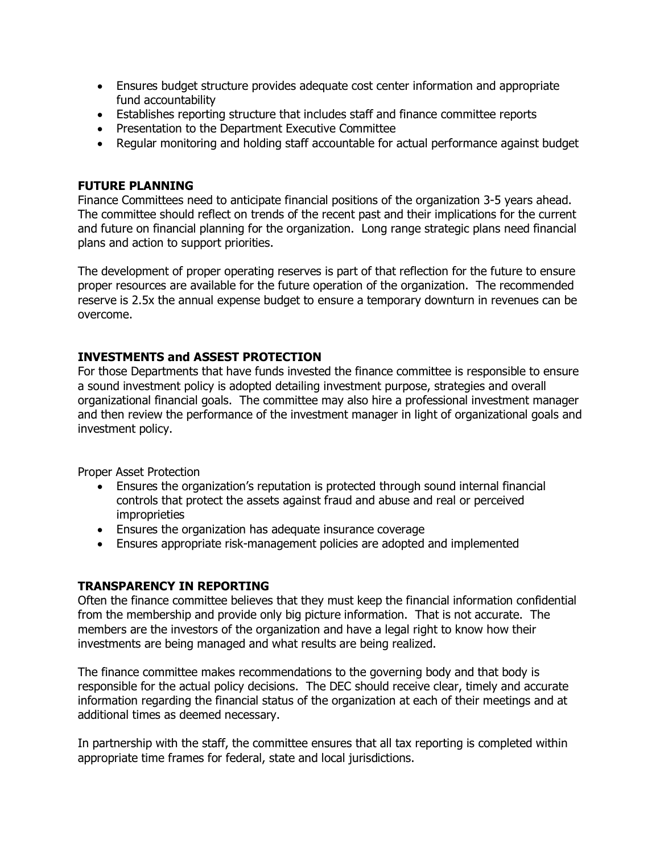- Ensures budget structure provides adequate cost center information and appropriate fund accountability
- Establishes reporting structure that includes staff and finance committee reports
- Presentation to the Department Executive Committee
- Regular monitoring and holding staff accountable for actual performance against budget

## **FUTURE PLANNING**

Finance Committees need to anticipate financial positions of the organization 3-5 years ahead. The committee should reflect on trends of the recent past and their implications for the current and future on financial planning for the organization. Long range strategic plans need financial plans and action to support priorities.

The development of proper operating reserves is part of that reflection for the future to ensure proper resources are available for the future operation of the organization. The recommended reserve is 2.5x the annual expense budget to ensure a temporary downturn in revenues can be overcome.

## **INVESTMENTS and ASSEST PROTECTION**

For those Departments that have funds invested the finance committee is responsible to ensure a sound investment policy is adopted detailing investment purpose, strategies and overall organizational financial goals. The committee may also hire a professional investment manager and then review the performance of the investment manager in light of organizational goals and investment policy.

Proper Asset Protection

- Ensures the organization's reputation is protected through sound internal financial controls that protect the assets against fraud and abuse and real or perceived improprieties
- Ensures the organization has adequate insurance coverage
- Ensures appropriate risk-management policies are adopted and implemented

## **TRANSPARENCY IN REPORTING**

Often the finance committee believes that they must keep the financial information confidential from the membership and provide only big picture information. That is not accurate. The members are the investors of the organization and have a legal right to know how their investments are being managed and what results are being realized.

The finance committee makes recommendations to the governing body and that body is responsible for the actual policy decisions. The DEC should receive clear, timely and accurate information regarding the financial status of the organization at each of their meetings and at additional times as deemed necessary.

In partnership with the staff, the committee ensures that all tax reporting is completed within appropriate time frames for federal, state and local jurisdictions.